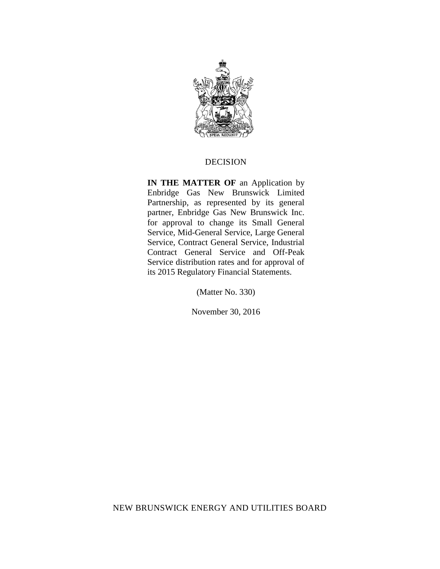

#### DECISION

**IN THE MATTER OF** an Application by Enbridge Gas New Brunswick Limited Partnership, as represented by its general partner, Enbridge Gas New Brunswick Inc. for approval to change its Small General Service, Mid-General Service, Large General Service, Contract General Service, Industrial Contract General Service and Off-Peak Service distribution rates and for approval of its 2015 Regulatory Financial Statements.

(Matter No. 330)

November 30, 2016

NEW BRUNSWICK ENERGY AND UTILITIES BOARD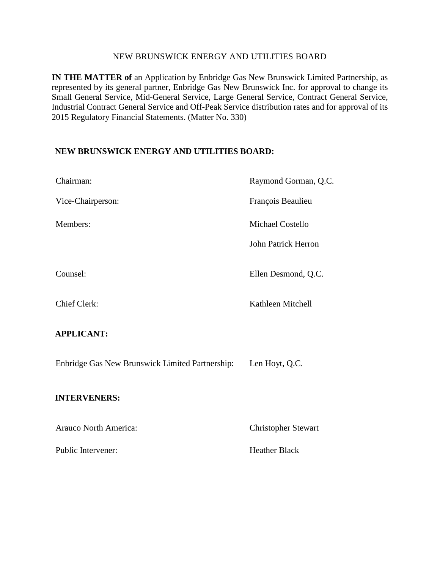#### NEW BRUNSWICK ENERGY AND UTILITIES BOARD

**IN THE MATTER of** an Application by Enbridge Gas New Brunswick Limited Partnership, as represented by its general partner, Enbridge Gas New Brunswick Inc. for approval to change its Small General Service, Mid-General Service, Large General Service, Contract General Service, Industrial Contract General Service and Off-Peak Service distribution rates and for approval of its 2015 Regulatory Financial Statements. (Matter No. 330)

#### **NEW BRUNSWICK ENERGY AND UTILITIES BOARD:**

| Chairman:                                       | Raymond Gorman, Q.C.       |
|-------------------------------------------------|----------------------------|
| Vice-Chairperson:                               | François Beaulieu          |
| Members:                                        | Michael Costello           |
|                                                 | <b>John Patrick Herron</b> |
| Counsel:                                        | Ellen Desmond, Q.C.        |
| <b>Chief Clerk:</b>                             | Kathleen Mitchell          |
| <b>APPLICANT:</b>                               |                            |
| Enbridge Gas New Brunswick Limited Partnership: | Len Hoyt, Q.C.             |
| <b>INTERVENERS:</b>                             |                            |
| <b>Arauco North America:</b>                    | <b>Christopher Stewart</b> |
| Public Intervener:                              | <b>Heather Black</b>       |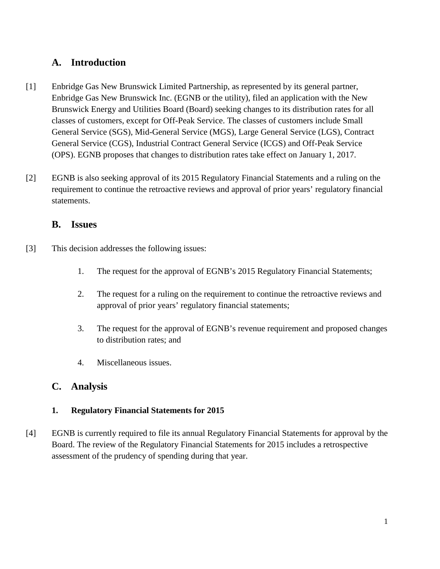# **A. Introduction**

- [1] Enbridge Gas New Brunswick Limited Partnership, as represented by its general partner, Enbridge Gas New Brunswick Inc. (EGNB or the utility), filed an application with the New Brunswick Energy and Utilities Board (Board) seeking changes to its distribution rates for all classes of customers, except for Off-Peak Service. The classes of customers include Small General Service (SGS), Mid-General Service (MGS), Large General Service (LGS), Contract General Service (CGS), Industrial Contract General Service (ICGS) and Off-Peak Service (OPS). EGNB proposes that changes to distribution rates take effect on January 1, 2017.
- [2] EGNB is also seeking approval of its 2015 Regulatory Financial Statements and a ruling on the requirement to continue the retroactive reviews and approval of prior years' regulatory financial statements.

## **B. Issues**

- [3] This decision addresses the following issues:
	- 1. The request for the approval of EGNB's 2015 Regulatory Financial Statements;
	- 2. The request for a ruling on the requirement to continue the retroactive reviews and approval of prior years' regulatory financial statements;
	- 3. The request for the approval of EGNB's revenue requirement and proposed changes to distribution rates; and
	- 4. Miscellaneous issues.

## **C. Analysis**

## **1. Regulatory Financial Statements for 2015**

[4] EGNB is currently required to file its annual Regulatory Financial Statements for approval by the Board. The review of the Regulatory Financial Statements for 2015 includes a retrospective assessment of the prudency of spending during that year.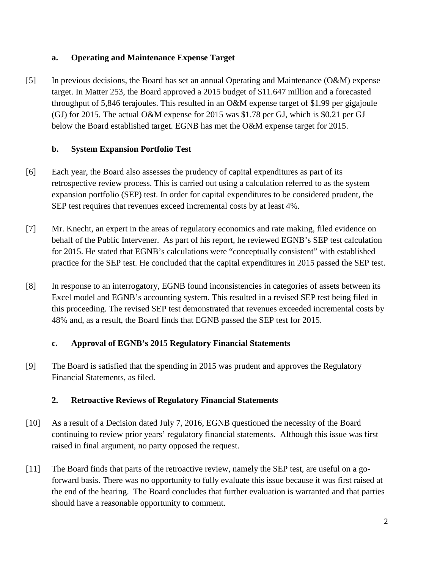### **a. Operating and Maintenance Expense Target**

[5] In previous decisions, the Board has set an annual Operating and Maintenance (O&M) expense target. In Matter 253, the Board approved a 2015 budget of \$11.647 million and a forecasted throughput of 5,846 terajoules. This resulted in an O&M expense target of \$1.99 per gigajoule (GJ) for 2015. The actual O&M expense for 2015 was \$1.78 per GJ, which is \$0.21 per GJ below the Board established target. EGNB has met the O&M expense target for 2015.

### **b. System Expansion Portfolio Test**

- [6] Each year, the Board also assesses the prudency of capital expenditures as part of its retrospective review process. This is carried out using a calculation referred to as the system expansion portfolio (SEP) test. In order for capital expenditures to be considered prudent, the SEP test requires that revenues exceed incremental costs by at least 4%.
- [7] Mr. Knecht, an expert in the areas of regulatory economics and rate making, filed evidence on behalf of the Public Intervener. As part of his report, he reviewed EGNB's SEP test calculation for 2015. He stated that EGNB's calculations were "conceptually consistent" with established practice for the SEP test. He concluded that the capital expenditures in 2015 passed the SEP test.
- [8] In response to an interrogatory, EGNB found inconsistencies in categories of assets between its Excel model and EGNB's accounting system. This resulted in a revised SEP test being filed in this proceeding. The revised SEP test demonstrated that revenues exceeded incremental costs by 48% and, as a result, the Board finds that EGNB passed the SEP test for 2015.

#### **c. Approval of EGNB's 2015 Regulatory Financial Statements**

[9] The Board is satisfied that the spending in 2015 was prudent and approves the Regulatory Financial Statements, as filed.

## **2. Retroactive Reviews of Regulatory Financial Statements**

- [10] As a result of a Decision dated July 7, 2016, EGNB questioned the necessity of the Board continuing to review prior years' regulatory financial statements. Although this issue was first raised in final argument, no party opposed the request.
- [11] The Board finds that parts of the retroactive review, namely the SEP test, are useful on a goforward basis. There was no opportunity to fully evaluate this issue because it was first raised at the end of the hearing. The Board concludes that further evaluation is warranted and that parties should have a reasonable opportunity to comment.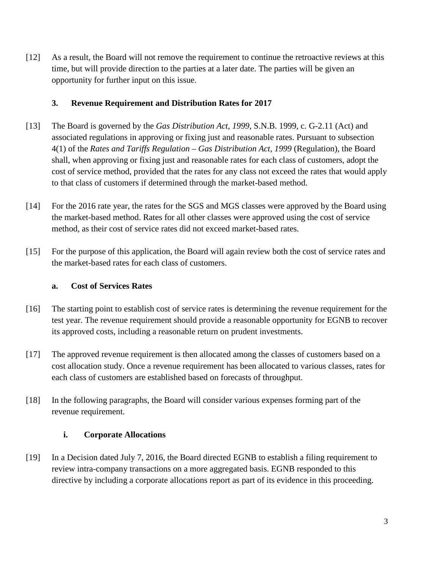[12] As a result, the Board will not remove the requirement to continue the retroactive reviews at this time, but will provide direction to the parties at a later date. The parties will be given an opportunity for further input on this issue.

#### **3. Revenue Requirement and Distribution Rates for 2017**

- [13] The Board is governed by the *Gas Distribution Act, 1999*, S.N.B. 1999, c. G-2.11 (Act) and associated regulations in approving or fixing just and reasonable rates. Pursuant to subsection 4(1) of the *Rates and Tariffs Regulation – Gas Distribution Act, 1999* (Regulation), the Board shall, when approving or fixing just and reasonable rates for each class of customers, adopt the cost of service method, provided that the rates for any class not exceed the rates that would apply to that class of customers if determined through the market-based method.
- [14] For the 2016 rate year, the rates for the SGS and MGS classes were approved by the Board using the market-based method. Rates for all other classes were approved using the cost of service method, as their cost of service rates did not exceed market-based rates.
- [15] For the purpose of this application, the Board will again review both the cost of service rates and the market-based rates for each class of customers.

### **a. Cost of Services Rates**

- [16] The starting point to establish cost of service rates is determining the revenue requirement for the test year. The revenue requirement should provide a reasonable opportunity for EGNB to recover its approved costs, including a reasonable return on prudent investments.
- [17] The approved revenue requirement is then allocated among the classes of customers based on a cost allocation study. Once a revenue requirement has been allocated to various classes, rates for each class of customers are established based on forecasts of throughput.
- [18] In the following paragraphs, the Board will consider various expenses forming part of the revenue requirement.

#### **i. Corporate Allocations**

[19] In a Decision dated July 7, 2016, the Board directed EGNB to establish a filing requirement to review intra-company transactions on a more aggregated basis. EGNB responded to this directive by including a corporate allocations report as part of its evidence in this proceeding.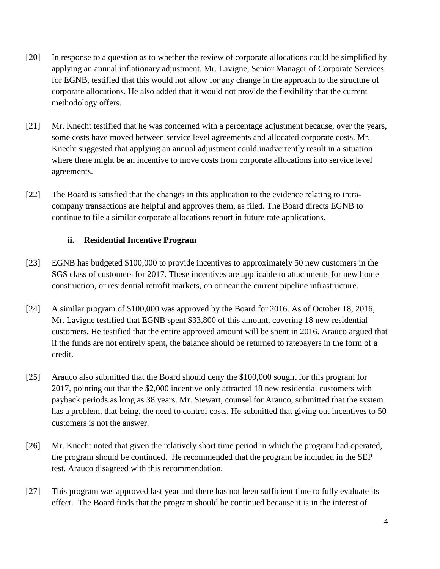- [20] In response to a question as to whether the review of corporate allocations could be simplified by applying an annual inflationary adjustment, Mr. Lavigne, Senior Manager of Corporate Services for EGNB, testified that this would not allow for any change in the approach to the structure of corporate allocations. He also added that it would not provide the flexibility that the current methodology offers.
- [21] Mr. Knecht testified that he was concerned with a percentage adjustment because, over the years, some costs have moved between service level agreements and allocated corporate costs. Mr. Knecht suggested that applying an annual adjustment could inadvertently result in a situation where there might be an incentive to move costs from corporate allocations into service level agreements.
- [22] The Board is satisfied that the changes in this application to the evidence relating to intracompany transactions are helpful and approves them, as filed. The Board directs EGNB to continue to file a similar corporate allocations report in future rate applications.

#### **ii. Residential Incentive Program**

- [23] EGNB has budgeted \$100,000 to provide incentives to approximately 50 new customers in the SGS class of customers for 2017. These incentives are applicable to attachments for new home construction, or residential retrofit markets, on or near the current pipeline infrastructure.
- [24] A similar program of \$100,000 was approved by the Board for 2016. As of October 18, 2016, Mr. Lavigne testified that EGNB spent \$33,800 of this amount, covering 18 new residential customers. He testified that the entire approved amount will be spent in 2016. Arauco argued that if the funds are not entirely spent, the balance should be returned to ratepayers in the form of a credit.
- [25] Arauco also submitted that the Board should deny the \$100,000 sought for this program for 2017, pointing out that the \$2,000 incentive only attracted 18 new residential customers with payback periods as long as 38 years. Mr. Stewart, counsel for Arauco, submitted that the system has a problem, that being, the need to control costs. He submitted that giving out incentives to 50 customers is not the answer.
- [26] Mr. Knecht noted that given the relatively short time period in which the program had operated, the program should be continued. He recommended that the program be included in the SEP test. Arauco disagreed with this recommendation.
- [27] This program was approved last year and there has not been sufficient time to fully evaluate its effect. The Board finds that the program should be continued because it is in the interest of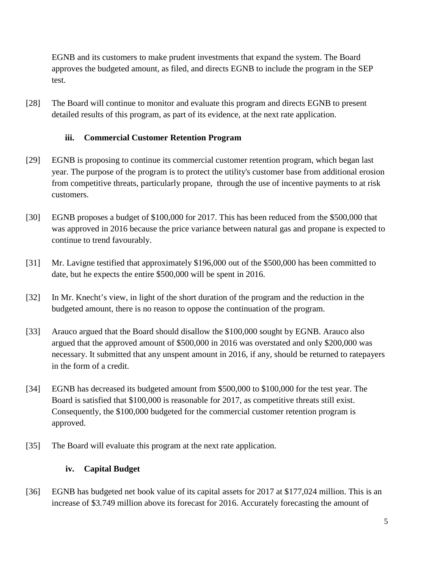EGNB and its customers to make prudent investments that expand the system. The Board approves the budgeted amount, as filed, and directs EGNB to include the program in the SEP test.

[28] The Board will continue to monitor and evaluate this program and directs EGNB to present detailed results of this program, as part of its evidence, at the next rate application.

#### **iii. Commercial Customer Retention Program**

- [29] EGNB is proposing to continue its commercial customer retention program, which began last year. The purpose of the program is to protect the utility's customer base from additional erosion from competitive threats, particularly propane, through the use of incentive payments to at risk customers.
- [30] EGNB proposes a budget of \$100,000 for 2017. This has been reduced from the \$500,000 that was approved in 2016 because the price variance between natural gas and propane is expected to continue to trend favourably.
- [31] Mr. Lavigne testified that approximately \$196,000 out of the \$500,000 has been committed to date, but he expects the entire \$500,000 will be spent in 2016.
- [32] In Mr. Knecht's view, in light of the short duration of the program and the reduction in the budgeted amount, there is no reason to oppose the continuation of the program.
- [33] Arauco argued that the Board should disallow the \$100,000 sought by EGNB. Arauco also argued that the approved amount of \$500,000 in 2016 was overstated and only \$200,000 was necessary. It submitted that any unspent amount in 2016, if any, should be returned to ratepayers in the form of a credit.
- [34] EGNB has decreased its budgeted amount from \$500,000 to \$100,000 for the test year. The Board is satisfied that \$100,000 is reasonable for 2017, as competitive threats still exist. Consequently, the \$100,000 budgeted for the commercial customer retention program is approved.
- [35] The Board will evaluate this program at the next rate application.

#### **iv. Capital Budget**

[36] EGNB has budgeted net book value of its capital assets for 2017 at \$177,024 million. This is an increase of \$3.749 million above its forecast for 2016. Accurately forecasting the amount of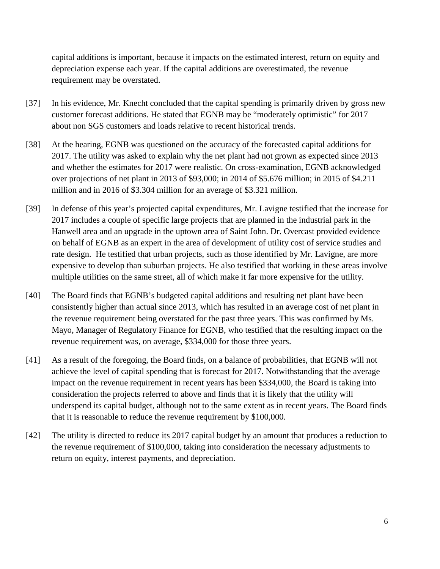capital additions is important, because it impacts on the estimated interest, return on equity and depreciation expense each year. If the capital additions are overestimated, the revenue requirement may be overstated.

- [37] In his evidence, Mr. Knecht concluded that the capital spending is primarily driven by gross new customer forecast additions. He stated that EGNB may be "moderately optimistic" for 2017 about non SGS customers and loads relative to recent historical trends.
- [38] At the hearing, EGNB was questioned on the accuracy of the forecasted capital additions for 2017. The utility was asked to explain why the net plant had not grown as expected since 2013 and whether the estimates for 2017 were realistic. On cross-examination, EGNB acknowledged over projections of net plant in 2013 of \$93,000; in 2014 of \$5.676 million; in 2015 of \$4.211 million and in 2016 of \$3.304 million for an average of \$3.321 million.
- [39] In defense of this year's projected capital expenditures, Mr. Lavigne testified that the increase for 2017 includes a couple of specific large projects that are planned in the industrial park in the Hanwell area and an upgrade in the uptown area of Saint John. Dr. Overcast provided evidence on behalf of EGNB as an expert in the area of development of utility cost of service studies and rate design. He testified that urban projects, such as those identified by Mr. Lavigne, are more expensive to develop than suburban projects. He also testified that working in these areas involve multiple utilities on the same street, all of which make it far more expensive for the utility.
- [40] The Board finds that EGNB's budgeted capital additions and resulting net plant have been consistently higher than actual since 2013, which has resulted in an average cost of net plant in the revenue requirement being overstated for the past three years. This was confirmed by Ms. Mayo, Manager of Regulatory Finance for EGNB, who testified that the resulting impact on the revenue requirement was, on average, \$334,000 for those three years.
- [41] As a result of the foregoing, the Board finds, on a balance of probabilities, that EGNB will not achieve the level of capital spending that is forecast for 2017. Notwithstanding that the average impact on the revenue requirement in recent years has been \$334,000, the Board is taking into consideration the projects referred to above and finds that it is likely that the utility will underspend its capital budget, although not to the same extent as in recent years. The Board finds that it is reasonable to reduce the revenue requirement by \$100,000.
- [42] The utility is directed to reduce its 2017 capital budget by an amount that produces a reduction to the revenue requirement of \$100,000, taking into consideration the necessary adjustments to return on equity, interest payments, and depreciation.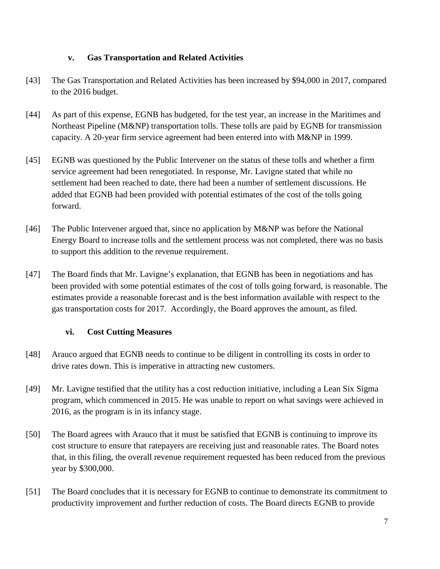### **v. Gas Transportation and Related Activities**

- [43] The Gas Transportation and Related Activities has been increased by \$94,000 in 2017, compared to the 2016 budget.
- [44] As part of this expense, EGNB has budgeted, for the test year, an increase in the Maritimes and Northeast Pipeline (M&NP) transportation tolls. These tolls are paid by EGNB for transmission capacity. A 20-year firm service agreement had been entered into with M&NP in 1999.
- [45] EGNB was questioned by the Public Intervener on the status of these tolls and whether a firm service agreement had been renegotiated. In response, Mr. Lavigne stated that while no settlement had been reached to date, there had been a number of settlement discussions. He added that EGNB had been provided with potential estimates of the cost of the tolls going forward.
- [46] The Public Intervener argued that, since no application by M&NP was before the National Energy Board to increase tolls and the settlement process was not completed, there was no basis to support this addition to the revenue requirement.
- [47] The Board finds that Mr. Lavigne's explanation, that EGNB has been in negotiations and has been provided with some potential estimates of the cost of tolls going forward, is reasonable. The estimates provide a reasonable forecast and is the best information available with respect to the gas transportation costs for 2017. Accordingly, the Board approves the amount, as filed.

#### **vi. Cost Cutting Measures**

- [48] Arauco argued that EGNB needs to continue to be diligent in controlling its costs in order to drive rates down. This is imperative in attracting new customers.
- [49] Mr. Lavigne testified that the utility has a cost reduction initiative, including a Lean Six Sigma program, which commenced in 2015. He was unable to report on what savings were achieved in 2016, as the program is in its infancy stage.
- [50] The Board agrees with Arauco that it must be satisfied that EGNB is continuing to improve its cost structure to ensure that ratepayers are receiving just and reasonable rates. The Board notes that, in this filing, the overall revenue requirement requested has been reduced from the previous year by \$300,000.
- [51] The Board concludes that it is necessary for EGNB to continue to demonstrate its commitment to productivity improvement and further reduction of costs. The Board directs EGNB to provide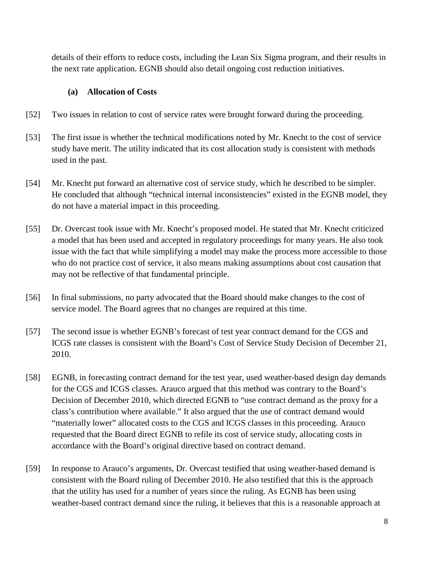details of their efforts to reduce costs, including the Lean Six Sigma program, and their results in the next rate application. EGNB should also detail ongoing cost reduction initiatives.

#### **(a) Allocation of Costs**

- [52] Two issues in relation to cost of service rates were brought forward during the proceeding.
- [53] The first issue is whether the technical modifications noted by Mr. Knecht to the cost of service study have merit. The utility indicated that its cost allocation study is consistent with methods used in the past.
- [54] Mr. Knecht put forward an alternative cost of service study, which he described to be simpler. He concluded that although "technical internal inconsistencies" existed in the EGNB model, they do not have a material impact in this proceeding.
- [55] Dr. Overcast took issue with Mr. Knecht's proposed model. He stated that Mr. Knecht criticized a model that has been used and accepted in regulatory proceedings for many years. He also took issue with the fact that while simplifying a model may make the process more accessible to those who do not practice cost of service, it also means making assumptions about cost causation that may not be reflective of that fundamental principle.
- [56] In final submissions, no party advocated that the Board should make changes to the cost of service model. The Board agrees that no changes are required at this time.
- [57] The second issue is whether EGNB's forecast of test year contract demand for the CGS and ICGS rate classes is consistent with the Board's Cost of Service Study Decision of December 21, 2010.
- [58] EGNB, in forecasting contract demand for the test year, used weather-based design day demands for the CGS and ICGS classes. Arauco argued that this method was contrary to the Board's Decision of December 2010, which directed EGNB to "use contract demand as the proxy for a class's contribution where available." It also argued that the use of contract demand would "materially lower" allocated costs to the CGS and ICGS classes in this proceeding. Arauco requested that the Board direct EGNB to refile its cost of service study, allocating costs in accordance with the Board's original directive based on contract demand.
- [59] In response to Arauco's arguments, Dr. Overcast testified that using weather-based demand is consistent with the Board ruling of December 2010. He also testified that this is the approach that the utility has used for a number of years since the ruling. As EGNB has been using weather-based contract demand since the ruling, it believes that this is a reasonable approach at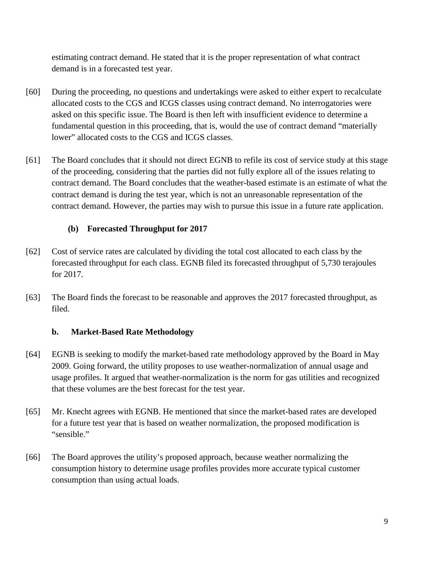estimating contract demand. He stated that it is the proper representation of what contract demand is in a forecasted test year.

- [60] During the proceeding, no questions and undertakings were asked to either expert to recalculate allocated costs to the CGS and ICGS classes using contract demand. No interrogatories were asked on this specific issue. The Board is then left with insufficient evidence to determine a fundamental question in this proceeding, that is, would the use of contract demand "materially lower" allocated costs to the CGS and ICGS classes.
- [61] The Board concludes that it should not direct EGNB to refile its cost of service study at this stage of the proceeding, considering that the parties did not fully explore all of the issues relating to contract demand. The Board concludes that the weather-based estimate is an estimate of what the contract demand is during the test year, which is not an unreasonable representation of the contract demand. However, the parties may wish to pursue this issue in a future rate application.

#### **(b) Forecasted Throughput for 2017**

- [62] Cost of service rates are calculated by dividing the total cost allocated to each class by the forecasted throughput for each class. EGNB filed its forecasted throughput of 5,730 terajoules for 2017.
- [63] The Board finds the forecast to be reasonable and approves the 2017 forecasted throughput, as filed.

#### **b. Market-Based Rate Methodology**

- [64] EGNB is seeking to modify the market-based rate methodology approved by the Board in May 2009. Going forward, the utility proposes to use weather-normalization of annual usage and usage profiles. It argued that weather-normalization is the norm for gas utilities and recognized that these volumes are the best forecast for the test year.
- [65] Mr. Knecht agrees with EGNB. He mentioned that since the market-based rates are developed for a future test year that is based on weather normalization, the proposed modification is "sensible."
- [66] The Board approves the utility's proposed approach, because weather normalizing the consumption history to determine usage profiles provides more accurate typical customer consumption than using actual loads.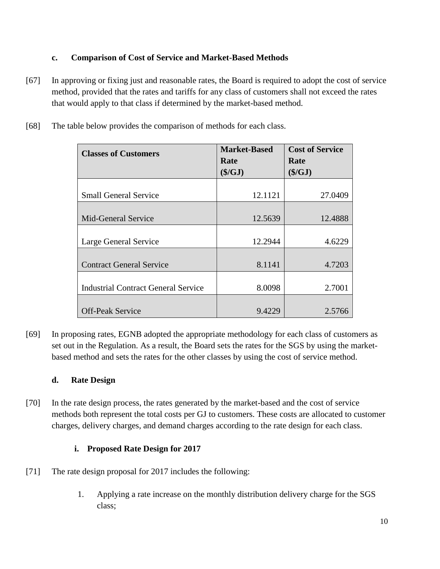### **c. Comparison of Cost of Service and Market-Based Methods**

- [67] In approving or fixing just and reasonable rates, the Board is required to adopt the cost of service method, provided that the rates and tariffs for any class of customers shall not exceed the rates that would apply to that class if determined by the market-based method.
	- **Classes of Customers Market-Based Rate (\$/GJ) Cost of Service Rate (\$/GJ)** Small General Service 12.1121 27.0409 Mid-General Service 12.5639 12.4888 Large General Service 12.2944 4.6229 Contract General Service 8.1141 4.7203 Industrial Contract General Service  $\vert$  8.0098 2.7001 Off-Peak Service 2.5766
- [68] The table below provides the comparison of methods for each class.

[69] In proposing rates, EGNB adopted the appropriate methodology for each class of customers as set out in the Regulation. As a result, the Board sets the rates for the SGS by using the marketbased method and sets the rates for the other classes by using the cost of service method.

## **d. Rate Design**

[70] In the rate design process, the rates generated by the market-based and the cost of service methods both represent the total costs per GJ to customers. These costs are allocated to customer charges, delivery charges, and demand charges according to the rate design for each class.

## **i. Proposed Rate Design for 2017**

- [71] The rate design proposal for 2017 includes the following:
	- 1. Applying a rate increase on the monthly distribution delivery charge for the SGS class;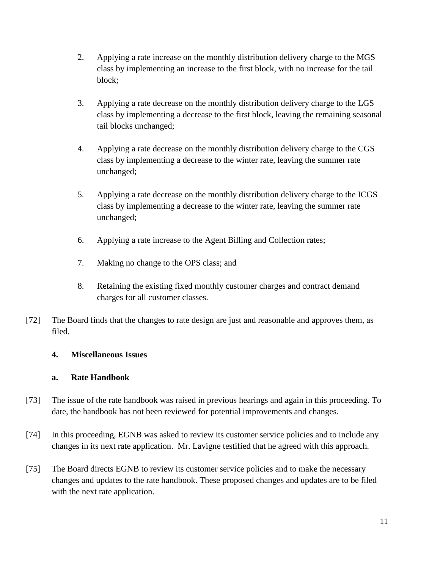- 2. Applying a rate increase on the monthly distribution delivery charge to the MGS class by implementing an increase to the first block, with no increase for the tail block;
- 3. Applying a rate decrease on the monthly distribution delivery charge to the LGS class by implementing a decrease to the first block, leaving the remaining seasonal tail blocks unchanged;
- 4. Applying a rate decrease on the monthly distribution delivery charge to the CGS class by implementing a decrease to the winter rate, leaving the summer rate unchanged;
- 5. Applying a rate decrease on the monthly distribution delivery charge to the ICGS class by implementing a decrease to the winter rate, leaving the summer rate unchanged;
- 6. Applying a rate increase to the Agent Billing and Collection rates;
- 7. Making no change to the OPS class; and
- 8. Retaining the existing fixed monthly customer charges and contract demand charges for all customer classes.
- [72] The Board finds that the changes to rate design are just and reasonable and approves them, as filed.

#### **4. Miscellaneous Issues**

#### **a. Rate Handbook**

- [73] The issue of the rate handbook was raised in previous hearings and again in this proceeding. To date, the handbook has not been reviewed for potential improvements and changes.
- [74] In this proceeding, EGNB was asked to review its customer service policies and to include any changes in its next rate application. Mr. Lavigne testified that he agreed with this approach.
- [75] The Board directs EGNB to review its customer service policies and to make the necessary changes and updates to the rate handbook. These proposed changes and updates are to be filed with the next rate application.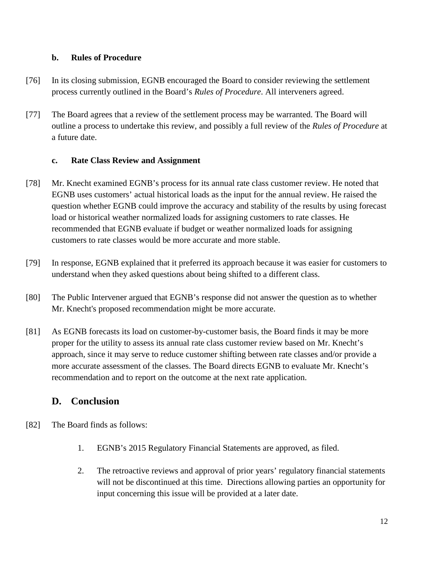#### **b. Rules of Procedure**

- [76] In its closing submission, EGNB encouraged the Board to consider reviewing the settlement process currently outlined in the Board's *Rules of Procedure*. All interveners agreed.
- [77] The Board agrees that a review of the settlement process may be warranted. The Board will outline a process to undertake this review, and possibly a full review of the *Rules of Procedure* at a future date.

## **c. Rate Class Review and Assignment**

- [78] Mr. Knecht examined EGNB's process for its annual rate class customer review. He noted that EGNB uses customers' actual historical loads as the input for the annual review. He raised the question whether EGNB could improve the accuracy and stability of the results by using forecast load or historical weather normalized loads for assigning customers to rate classes. He recommended that EGNB evaluate if budget or weather normalized loads for assigning customers to rate classes would be more accurate and more stable.
- [79] In response, EGNB explained that it preferred its approach because it was easier for customers to understand when they asked questions about being shifted to a different class.
- [80] The Public Intervener argued that EGNB's response did not answer the question as to whether Mr. Knecht's proposed recommendation might be more accurate.
- [81] As EGNB forecasts its load on customer-by-customer basis, the Board finds it may be more proper for the utility to assess its annual rate class customer review based on Mr. Knecht's approach, since it may serve to reduce customer shifting between rate classes and/or provide a more accurate assessment of the classes. The Board directs EGNB to evaluate Mr. Knecht's recommendation and to report on the outcome at the next rate application.

## **D. Conclusion**

- [82] The Board finds as follows:
	- 1. EGNB's 2015 Regulatory Financial Statements are approved, as filed.
	- 2. The retroactive reviews and approval of prior years' regulatory financial statements will not be discontinued at this time. Directions allowing parties an opportunity for input concerning this issue will be provided at a later date.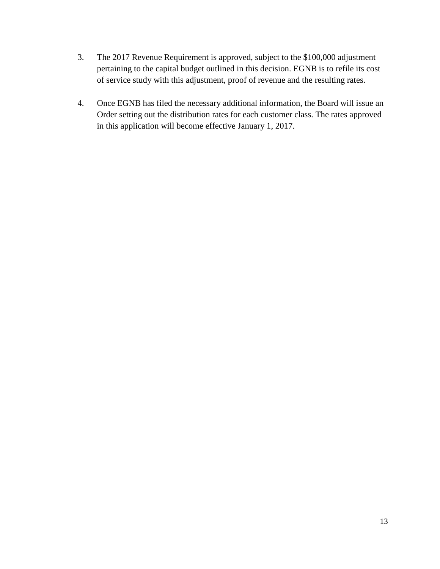- 3. The 2017 Revenue Requirement is approved, subject to the \$100,000 adjustment pertaining to the capital budget outlined in this decision. EGNB is to refile its cost of service study with this adjustment, proof of revenue and the resulting rates.
- 4. Once EGNB has filed the necessary additional information, the Board will issue an Order setting out the distribution rates for each customer class. The rates approved in this application will become effective January 1, 2017.